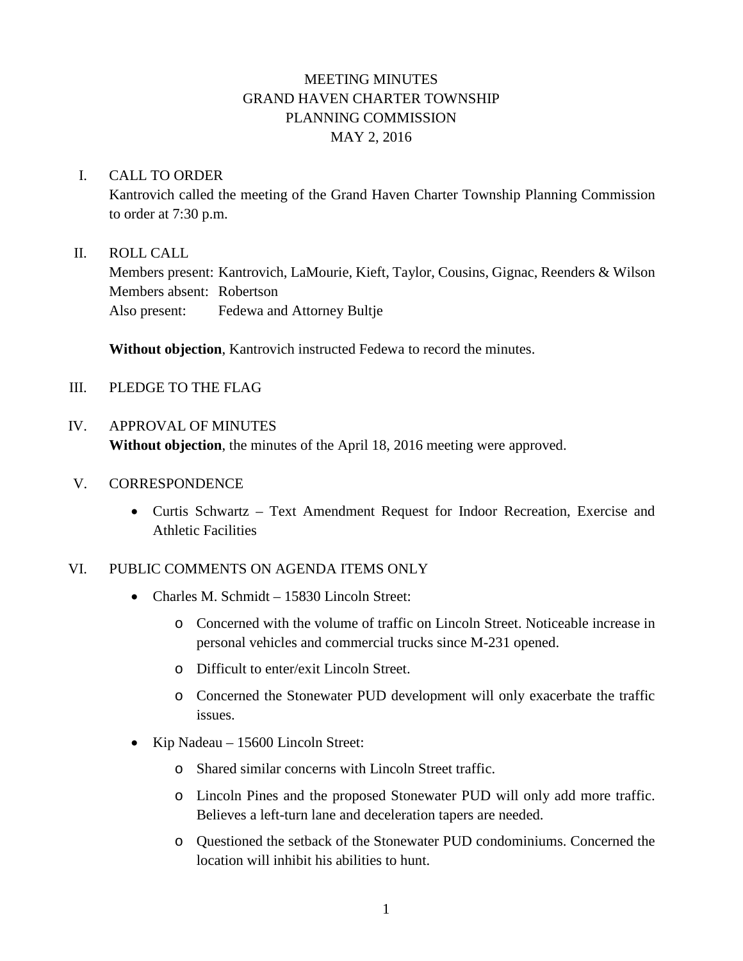# MEETING MINUTES GRAND HAVEN CHARTER TOWNSHIP PLANNING COMMISSION MAY 2, 2016

### I. CALL TO ORDER

Kantrovich called the meeting of the Grand Haven Charter Township Planning Commission to order at 7:30 p.m.

### II. ROLL CALL

Members present: Kantrovich, LaMourie, Kieft, Taylor, Cousins, Gignac, Reenders & Wilson Members absent: Robertson Also present: Fedewa and Attorney Bultje

**Without objection**, Kantrovich instructed Fedewa to record the minutes.

III. PLEDGE TO THE FLAG

# IV. APPROVAL OF MINUTES **Without objection**, the minutes of the April 18, 2016 meeting were approved.

- V. CORRESPONDENCE
	- Curtis Schwartz Text Amendment Request for Indoor Recreation, Exercise and Athletic Facilities

## VI. PUBLIC COMMENTS ON AGENDA ITEMS ONLY

- Charles M. Schmidt 15830 Lincoln Street:
	- o Concerned with the volume of traffic on Lincoln Street. Noticeable increase in personal vehicles and commercial trucks since M-231 opened.
	- o Difficult to enter/exit Lincoln Street.
	- o Concerned the Stonewater PUD development will only exacerbate the traffic issues.
- Kip Nadeau 15600 Lincoln Street:
	- o Shared similar concerns with Lincoln Street traffic.
	- o Lincoln Pines and the proposed Stonewater PUD will only add more traffic. Believes a left-turn lane and deceleration tapers are needed.
	- o Questioned the setback of the Stonewater PUD condominiums. Concerned the location will inhibit his abilities to hunt.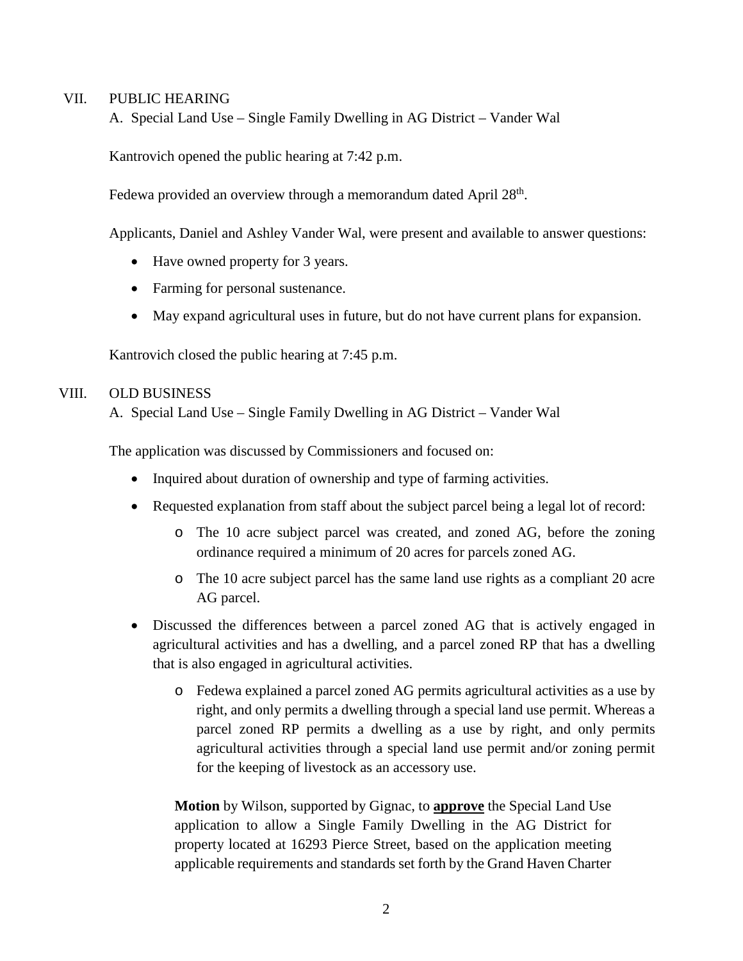#### VII. PUBLIC HEARING

A. Special Land Use – Single Family Dwelling in AG District – Vander Wal

Kantrovich opened the public hearing at 7:42 p.m.

Fedewa provided an overview through a memorandum dated April 28<sup>th</sup>.

Applicants, Daniel and Ashley Vander Wal, were present and available to answer questions:

- Have owned property for 3 years.
- Farming for personal sustenance.
- May expand agricultural uses in future, but do not have current plans for expansion.

Kantrovich closed the public hearing at 7:45 p.m.

#### VIII. OLD BUSINESS

A. Special Land Use – Single Family Dwelling in AG District – Vander Wal

The application was discussed by Commissioners and focused on:

- Inquired about duration of ownership and type of farming activities.
- Requested explanation from staff about the subject parcel being a legal lot of record:
	- o The 10 acre subject parcel was created, and zoned AG, before the zoning ordinance required a minimum of 20 acres for parcels zoned AG.
	- o The 10 acre subject parcel has the same land use rights as a compliant 20 acre AG parcel.
- Discussed the differences between a parcel zoned AG that is actively engaged in agricultural activities and has a dwelling, and a parcel zoned RP that has a dwelling that is also engaged in agricultural activities.
	- o Fedewa explained a parcel zoned AG permits agricultural activities as a use by right, and only permits a dwelling through a special land use permit. Whereas a parcel zoned RP permits a dwelling as a use by right, and only permits agricultural activities through a special land use permit and/or zoning permit for the keeping of livestock as an accessory use.

**Motion** by Wilson, supported by Gignac, to **approve** the Special Land Use application to allow a Single Family Dwelling in the AG District for property located at 16293 Pierce Street, based on the application meeting applicable requirements and standards set forth by the Grand Haven Charter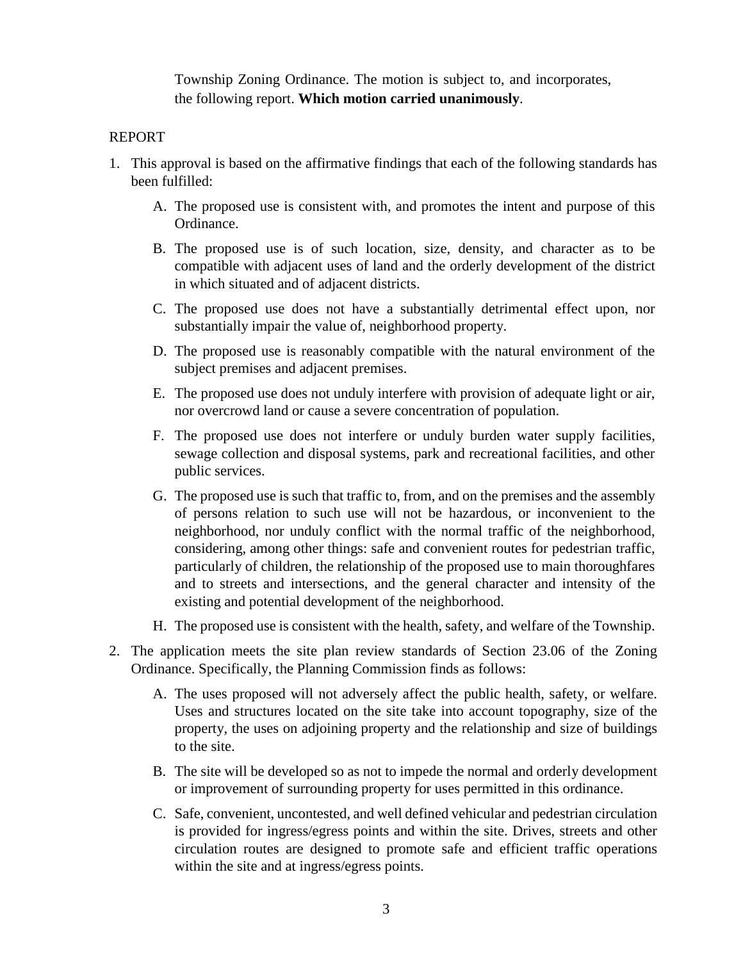Township Zoning Ordinance. The motion is subject to, and incorporates, the following report. **Which motion carried unanimously**.

### REPORT

- 1. This approval is based on the affirmative findings that each of the following standards has been fulfilled:
	- A. The proposed use is consistent with, and promotes the intent and purpose of this Ordinance.
	- B. The proposed use is of such location, size, density, and character as to be compatible with adjacent uses of land and the orderly development of the district in which situated and of adjacent districts.
	- C. The proposed use does not have a substantially detrimental effect upon, nor substantially impair the value of, neighborhood property.
	- D. The proposed use is reasonably compatible with the natural environment of the subject premises and adjacent premises.
	- E. The proposed use does not unduly interfere with provision of adequate light or air, nor overcrowd land or cause a severe concentration of population.
	- F. The proposed use does not interfere or unduly burden water supply facilities, sewage collection and disposal systems, park and recreational facilities, and other public services.
	- G. The proposed use is such that traffic to, from, and on the premises and the assembly of persons relation to such use will not be hazardous, or inconvenient to the neighborhood, nor unduly conflict with the normal traffic of the neighborhood, considering, among other things: safe and convenient routes for pedestrian traffic, particularly of children, the relationship of the proposed use to main thoroughfares and to streets and intersections, and the general character and intensity of the existing and potential development of the neighborhood.
	- H. The proposed use is consistent with the health, safety, and welfare of the Township.
- 2. The application meets the site plan review standards of Section 23.06 of the Zoning Ordinance. Specifically, the Planning Commission finds as follows:
	- A. The uses proposed will not adversely affect the public health, safety, or welfare. Uses and structures located on the site take into account topography, size of the property, the uses on adjoining property and the relationship and size of buildings to the site.
	- B. The site will be developed so as not to impede the normal and orderly development or improvement of surrounding property for uses permitted in this ordinance.
	- C. Safe, convenient, uncontested, and well defined vehicular and pedestrian circulation is provided for ingress/egress points and within the site. Drives, streets and other circulation routes are designed to promote safe and efficient traffic operations within the site and at ingress/egress points.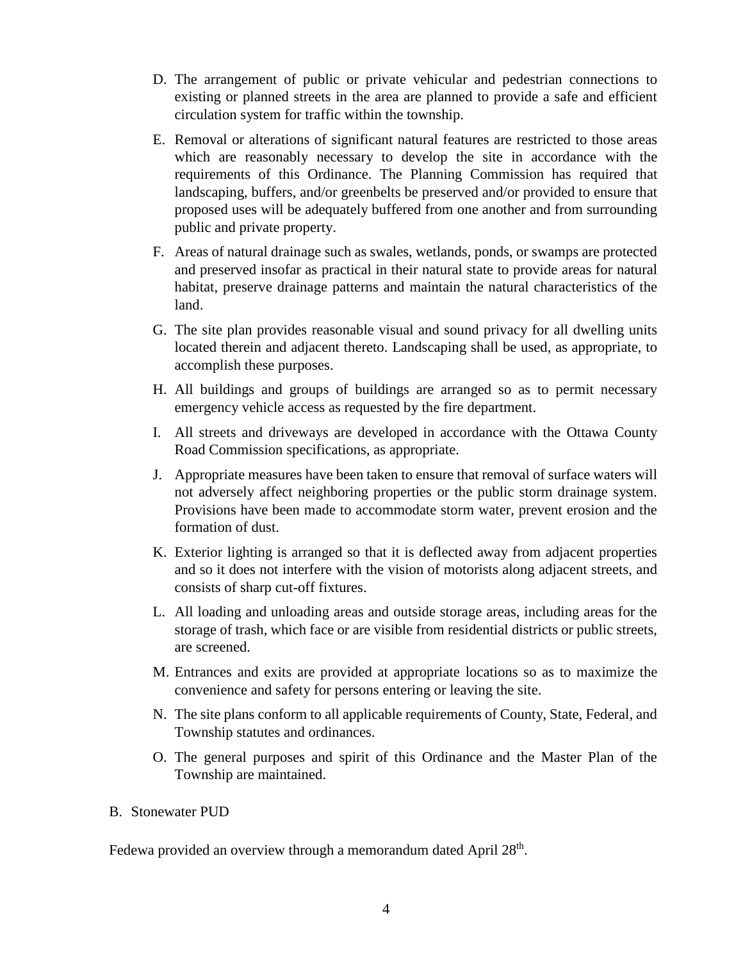- D. The arrangement of public or private vehicular and pedestrian connections to existing or planned streets in the area are planned to provide a safe and efficient circulation system for traffic within the township.
- E. Removal or alterations of significant natural features are restricted to those areas which are reasonably necessary to develop the site in accordance with the requirements of this Ordinance. The Planning Commission has required that landscaping, buffers, and/or greenbelts be preserved and/or provided to ensure that proposed uses will be adequately buffered from one another and from surrounding public and private property.
- F. Areas of natural drainage such as swales, wetlands, ponds, or swamps are protected and preserved insofar as practical in their natural state to provide areas for natural habitat, preserve drainage patterns and maintain the natural characteristics of the land.
- G. The site plan provides reasonable visual and sound privacy for all dwelling units located therein and adjacent thereto. Landscaping shall be used, as appropriate, to accomplish these purposes.
- H. All buildings and groups of buildings are arranged so as to permit necessary emergency vehicle access as requested by the fire department.
- I. All streets and driveways are developed in accordance with the Ottawa County Road Commission specifications, as appropriate.
- J. Appropriate measures have been taken to ensure that removal of surface waters will not adversely affect neighboring properties or the public storm drainage system. Provisions have been made to accommodate storm water, prevent erosion and the formation of dust.
- K. Exterior lighting is arranged so that it is deflected away from adjacent properties and so it does not interfere with the vision of motorists along adjacent streets, and consists of sharp cut-off fixtures.
- L. All loading and unloading areas and outside storage areas, including areas for the storage of trash, which face or are visible from residential districts or public streets, are screened.
- M. Entrances and exits are provided at appropriate locations so as to maximize the convenience and safety for persons entering or leaving the site.
- N. The site plans conform to all applicable requirements of County, State, Federal, and Township statutes and ordinances.
- O. The general purposes and spirit of this Ordinance and the Master Plan of the Township are maintained.

## B. Stonewater PUD

Fedewa provided an overview through a memorandum dated April 28<sup>th</sup>.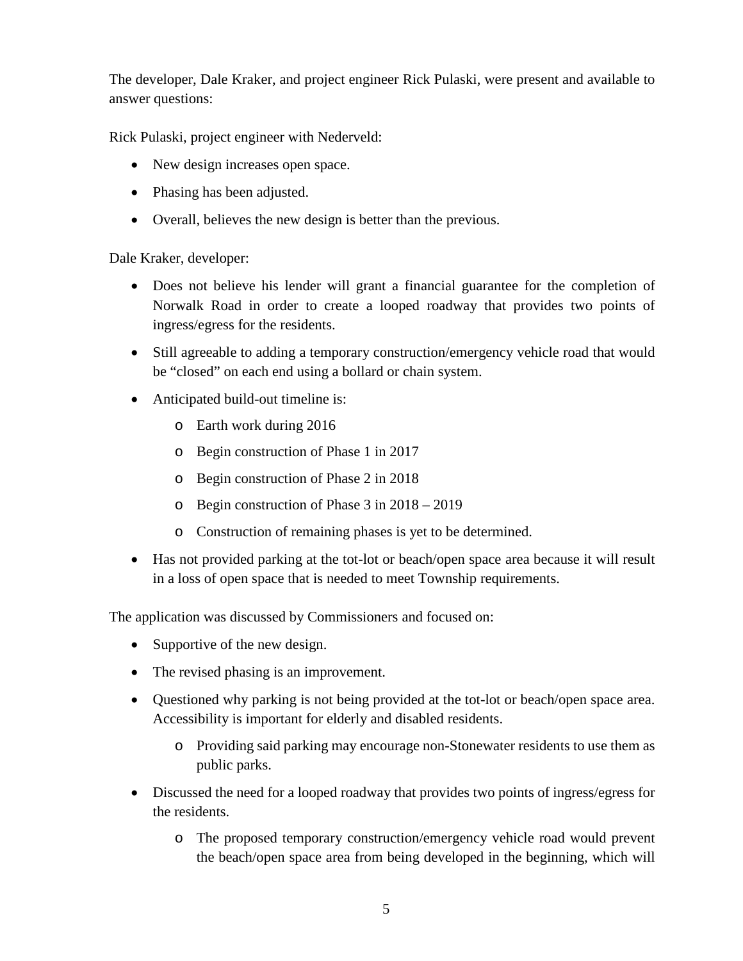The developer, Dale Kraker, and project engineer Rick Pulaski, were present and available to answer questions:

Rick Pulaski, project engineer with Nederveld:

- New design increases open space.
- Phasing has been adjusted.
- Overall, believes the new design is better than the previous.

Dale Kraker, developer:

- Does not believe his lender will grant a financial guarantee for the completion of Norwalk Road in order to create a looped roadway that provides two points of ingress/egress for the residents.
- Still agreeable to adding a temporary construction/emergency vehicle road that would be "closed" on each end using a bollard or chain system.
- Anticipated build-out timeline is:
	- o Earth work during 2016
	- o Begin construction of Phase 1 in 2017
	- o Begin construction of Phase 2 in 2018
	- o Begin construction of Phase 3 in 2018 2019
	- o Construction of remaining phases is yet to be determined.
- Has not provided parking at the tot-lot or beach/open space area because it will result in a loss of open space that is needed to meet Township requirements.

The application was discussed by Commissioners and focused on:

- Supportive of the new design.
- The revised phasing is an improvement.
- Questioned why parking is not being provided at the tot-lot or beach/open space area. Accessibility is important for elderly and disabled residents.
	- o Providing said parking may encourage non-Stonewater residents to use them as public parks.
- Discussed the need for a looped roadway that provides two points of ingress/egress for the residents.
	- o The proposed temporary construction/emergency vehicle road would prevent the beach/open space area from being developed in the beginning, which will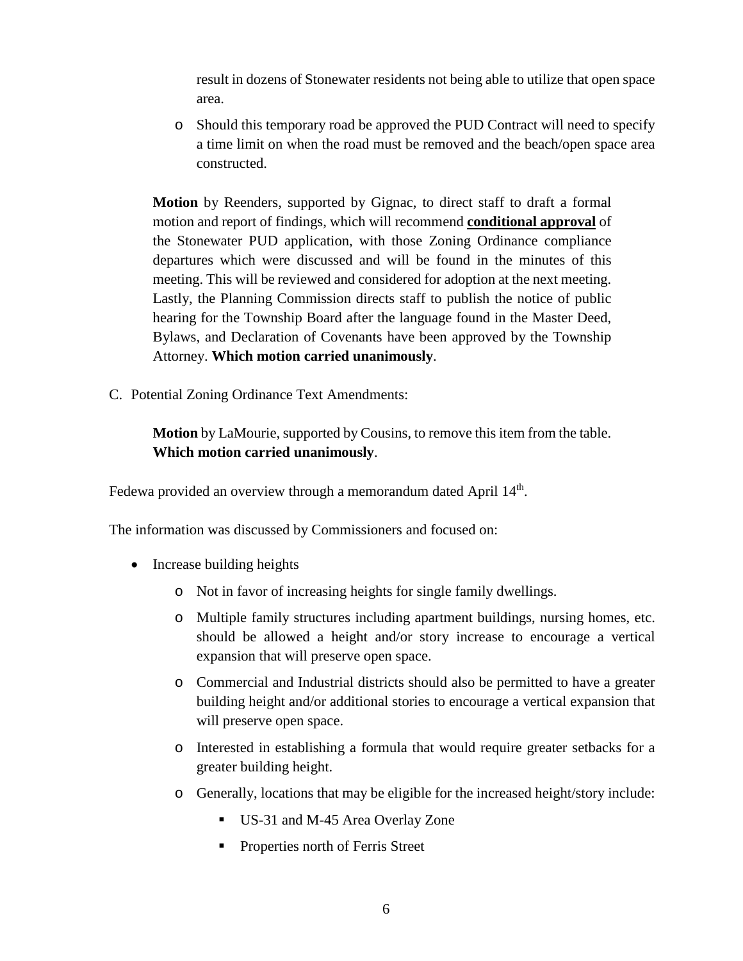result in dozens of Stonewater residents not being able to utilize that open space area.

o Should this temporary road be approved the PUD Contract will need to specify a time limit on when the road must be removed and the beach/open space area constructed.

**Motion** by Reenders, supported by Gignac, to direct staff to draft a formal motion and report of findings, which will recommend **conditional approval** of the Stonewater PUD application, with those Zoning Ordinance compliance departures which were discussed and will be found in the minutes of this meeting. This will be reviewed and considered for adoption at the next meeting. Lastly, the Planning Commission directs staff to publish the notice of public hearing for the Township Board after the language found in the Master Deed, Bylaws, and Declaration of Covenants have been approved by the Township Attorney. **Which motion carried unanimously**.

C. Potential Zoning Ordinance Text Amendments:

**Motion** by LaMourie, supported by Cousins, to remove this item from the table. **Which motion carried unanimously**.

Fedewa provided an overview through a memorandum dated April 14<sup>th</sup>.

The information was discussed by Commissioners and focused on:

- Increase building heights
	- o Not in favor of increasing heights for single family dwellings.
	- o Multiple family structures including apartment buildings, nursing homes, etc. should be allowed a height and/or story increase to encourage a vertical expansion that will preserve open space.
	- o Commercial and Industrial districts should also be permitted to have a greater building height and/or additional stories to encourage a vertical expansion that will preserve open space.
	- o Interested in establishing a formula that would require greater setbacks for a greater building height.
	- o Generally, locations that may be eligible for the increased height/story include:
		- US-31 and M-45 Area Overlay Zone
		- **Properties north of Ferris Street**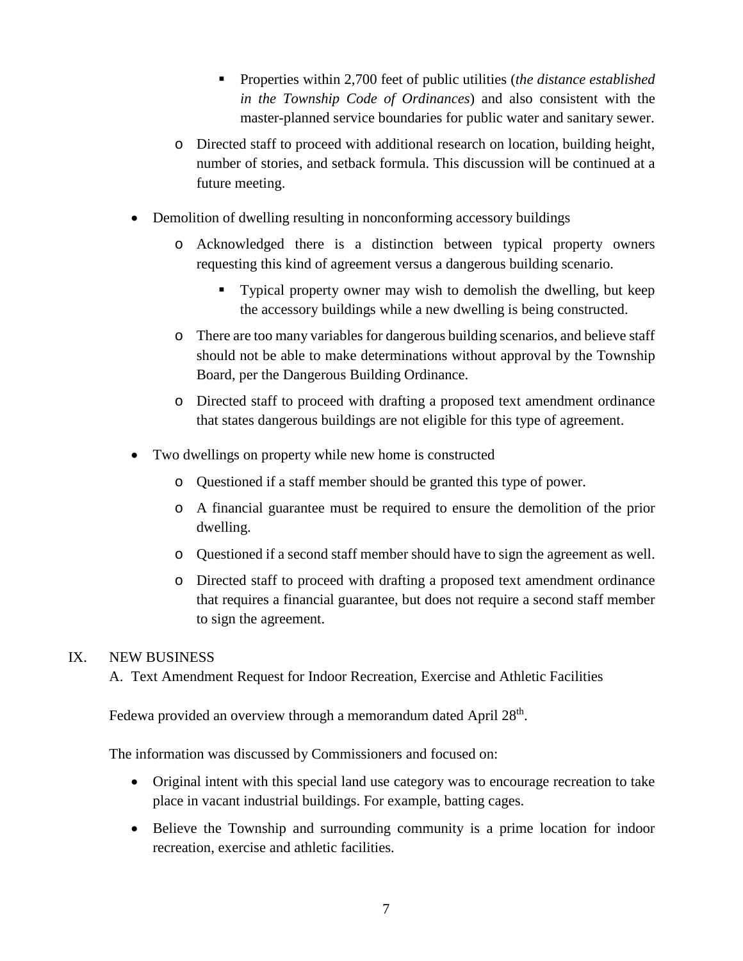- Properties within 2,700 feet of public utilities (*the distance established in the Township Code of Ordinances*) and also consistent with the master-planned service boundaries for public water and sanitary sewer.
- o Directed staff to proceed with additional research on location, building height, number of stories, and setback formula. This discussion will be continued at a future meeting.
- Demolition of dwelling resulting in nonconforming accessory buildings
	- o Acknowledged there is a distinction between typical property owners requesting this kind of agreement versus a dangerous building scenario.
		- Typical property owner may wish to demolish the dwelling, but keep the accessory buildings while a new dwelling is being constructed.
	- o There are too many variables for dangerous building scenarios, and believe staff should not be able to make determinations without approval by the Township Board, per the Dangerous Building Ordinance.
	- o Directed staff to proceed with drafting a proposed text amendment ordinance that states dangerous buildings are not eligible for this type of agreement.
- Two dwellings on property while new home is constructed
	- o Questioned if a staff member should be granted this type of power.
	- o A financial guarantee must be required to ensure the demolition of the prior dwelling.
	- o Questioned if a second staff member should have to sign the agreement as well.
	- o Directed staff to proceed with drafting a proposed text amendment ordinance that requires a financial guarantee, but does not require a second staff member to sign the agreement.

## IX. NEW BUSINESS

A. Text Amendment Request for Indoor Recreation, Exercise and Athletic Facilities

Fedewa provided an overview through a memorandum dated April 28<sup>th</sup>.

The information was discussed by Commissioners and focused on:

- Original intent with this special land use category was to encourage recreation to take place in vacant industrial buildings. For example, batting cages.
- Believe the Township and surrounding community is a prime location for indoor recreation, exercise and athletic facilities.